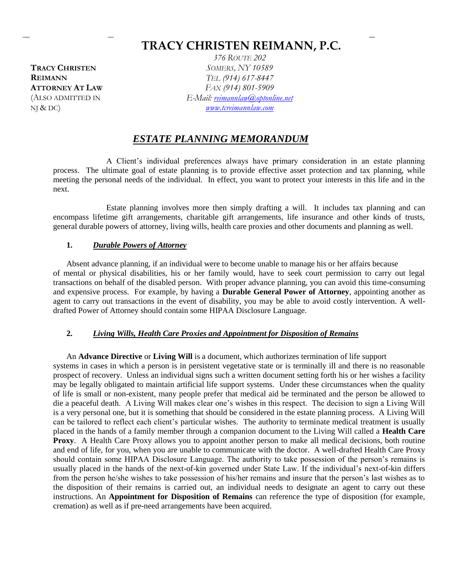# **TRACY CHRISTEN REIMANN, P.C.**

**TRACY CHRISTEN REIMANN ATTORNEY AT LAW** (ALSO ADMITTED IN  $NJ & DC$ 

*376 ROUTE 202 SOMERS, NY 10589 TEL (914) 617-8447 FAX (914) 801-5909 E-Mail: [reimannlaw@optonline.net](mailto:reimannlaw@optonline.net) [www.tcreimannlaw.com](http://www.tcreimannlaw.com/)*

# *ESTATE PLANNING MEMORANDUM*

A Client's individual preferences always have primary consideration in an estate planning process. The ultimate goal of estate planning is to provide effective asset protection and tax planning, while meeting the personal needs of the individual. In effect, you want to protect your interests in this life and in the next.

Estate planning involves more then simply drafting a will. It includes tax planning and can encompass lifetime gift arrangements, charitable gift arrangements, life insurance and other kinds of trusts, general durable powers of attorney, living wills, health care proxies and other documents and planning as well.

#### **1.** *Durable Powers of Attorney*

Absent advance planning, if an individual were to become unable to manage his or her affairs because of mental or physical disabilities, his or her family would, have to seek court permission to carry out legal transactions on behalf of the disabled person. With proper advance planning, you can avoid this time-consuming and expensive process. For example, by having a **Durable General Power of Attorney**, appointing another as agent to carry out transactions in the event of disability, you may be able to avoid costly intervention. A welldrafted Power of Attorney should contain some HIPAA Disclosure Language.

#### **2.** *Living Wills, Health Care Proxies and Appointment for Disposition of Remains*

An **Advance Directive** or **Living Will** is a document, which authorizes termination of life support systems in cases in which a person is in persistent vegetative state or is terminally ill and there is no reasonable prospect of recovery. Unless an individual signs such a written document setting forth his or her wishes a facility may be legally obligated to maintain artificial life support systems. Under these circumstances when the quality of life is small or non-existent, many people prefer that medical aid be terminated and the person be allowed to die a peaceful death. A Living Will makes clear one's wishes in this respect. The decision to sign a Living Will is a very personal one, but it is something that should be considered in the estate planning process. A Living Will can be tailored to reflect each client's particular wishes. The authority to terminate medical treatment is usually placed in the hands of a family member through a companion document to the Living Will called a **Health Care Proxy**. A Health Care Proxy allows you to appoint another person to make all medical decisions, both routine and end of life, for you, when you are unable to communicate with the doctor. A well-drafted Health Care Proxy should contain some HIPAA Disclosure Language. The authority to take possession of the person's remains is usually placed in the hands of the next-of-kin governed under State Law. If the individual's next-of-kin differs from the person he/she wishes to take possession of his/her remains and insure that the person's last wishes as to the disposition of their remains is carried out, an individual needs to designate an agent to carry out these instructions. An **Appointment for Disposition of Remains** can reference the type of disposition (for example, cremation) as well as if pre-need arrangements have been acquired.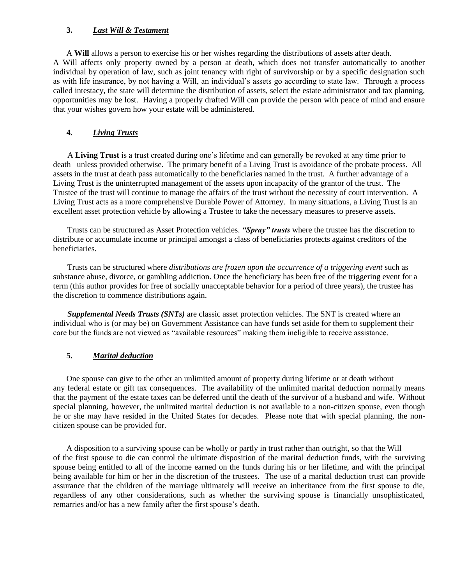### **3.** *Last Will & Testament*

A **Will** allows a person to exercise his or her wishes regarding the distributions of assets after death. A Will affects only property owned by a person at death, which does not transfer automatically to another individual by operation of law, such as joint tenancy with right of survivorship or by a specific designation such as with life insurance, by not having a Will, an individual's assets go according to state law. Through a process called intestacy, the state will determine the distribution of assets, select the estate administrator and tax planning, opportunities may be lost. Having a properly drafted Will can provide the person with peace of mind and ensure that your wishes govern how your estate will be administered.

# **4.** *Living Trusts*

 A **Living Trust** is a trust created during one's lifetime and can generally be revoked at any time prior to death unless provided otherwise. The primary benefit of a Living Trust is avoidance of the probate process. All assets in the trust at death pass automatically to the beneficiaries named in the trust. A further advantage of a Living Trust is the uninterrupted management of the assets upon incapacity of the grantor of the trust. The Trustee of the trust will continue to manage the affairs of the trust without the necessity of court intervention. A Living Trust acts as a more comprehensive Durable Power of Attorney. In many situations, a Living Trust is an excellent asset protection vehicle by allowing a Trustee to take the necessary measures to preserve assets.

 Trusts can be structured as Asset Protection vehicles. *"Spray" trusts* where the trustee has the discretion to distribute or accumulate income or principal amongst a class of beneficiaries protects against creditors of the beneficiaries.

 Trusts can be structured where *distributions are frozen upon the occurrence of a triggering event* such as substance abuse, divorce, or gambling addiction. Once the beneficiary has been free of the triggering event for a term (this author provides for free of socially unacceptable behavior for a period of three years), the trustee has the discretion to commence distributions again.

 *Supplemental Needs Trusts (SNTs)* are classic asset protection vehicles. The SNT is created where an individual who is (or may be) on Government Assistance can have funds set aside for them to supplement their care but the funds are not viewed as "available resources" making them ineligible to receive assistance.

# **5.** *Marital deduction*

One spouse can give to the other an unlimited amount of property during lifetime or at death without any federal estate or gift tax consequences. The availability of the unlimited marital deduction normally means that the payment of the estate taxes can be deferred until the death of the survivor of a husband and wife. Without special planning, however, the unlimited marital deduction is not available to a non-citizen spouse, even though he or she may have resided in the United States for decades. Please note that with special planning, the noncitizen spouse can be provided for.

A disposition to a surviving spouse can be wholly or partly in trust rather than outright, so that the Will of the first spouse to die can control the ultimate disposition of the marital deduction funds, with the surviving spouse being entitled to all of the income earned on the funds during his or her lifetime, and with the principal being available for him or her in the discretion of the trustees. The use of a marital deduction trust can provide assurance that the children of the marriage ultimately will receive an inheritance from the first spouse to die, regardless of any other considerations, such as whether the surviving spouse is financially unsophisticated, remarries and/or has a new family after the first spouse's death.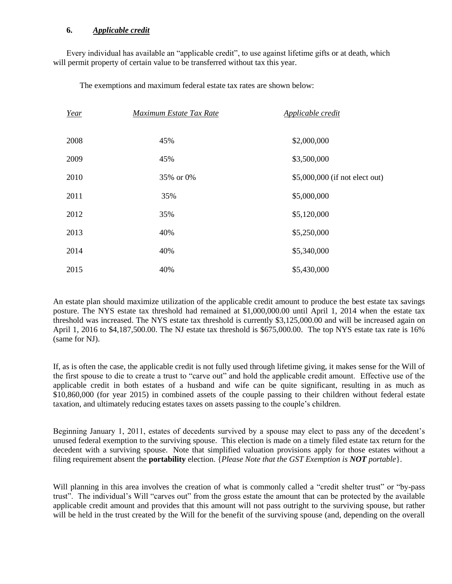# **6.** *Applicable credit*

Every individual has available an "applicable credit", to use against lifetime gifts or at death, which will permit property of certain value to be transferred without tax this year.

The exemptions and maximum federal estate tax rates are shown below:

| Year | Maximum Estate Tax Rate | Applicable credit              |
|------|-------------------------|--------------------------------|
| 2008 | 45%                     | \$2,000,000                    |
| 2009 | 45%                     | \$3,500,000                    |
| 2010 | 35% or 0%               | \$5,000,000 (if not elect out) |
| 2011 | 35%                     | \$5,000,000                    |
| 2012 | 35%                     | \$5,120,000                    |
| 2013 | 40%                     | \$5,250,000                    |
| 2014 | 40%                     | \$5,340,000                    |
| 2015 | 40%                     | \$5,430,000                    |

An estate plan should maximize utilization of the applicable credit amount to produce the best estate tax savings posture. The NYS estate tax threshold had remained at \$1,000,000.00 until April 1, 2014 when the estate tax threshold was increased. The NYS estate tax threshold is currently \$3,125,000.00 and will be increased again on April 1, 2016 to \$4,187,500.00. The NJ estate tax threshold is \$675,000.00. The top NYS estate tax rate is 16% (same for NJ).

If, as is often the case, the applicable credit is not fully used through lifetime giving, it makes sense for the Will of the first spouse to die to create a trust to "carve out" and hold the applicable credit amount. Effective use of the applicable credit in both estates of a husband and wife can be quite significant, resulting in as much as \$10,860,000 (for year 2015) in combined assets of the couple passing to their children without federal estate taxation, and ultimately reducing estates taxes on assets passing to the couple's children.

Beginning January 1, 2011, estates of decedents survived by a spouse may elect to pass any of the decedent's unused federal exemption to the surviving spouse. This election is made on a timely filed estate tax return for the decedent with a surviving spouse. Note that simplified valuation provisions apply for those estates without a filing requirement absent the **portability** election. {*Please Note that the GST Exemption is NOT portable*}.

Will planning in this area involves the creation of what is commonly called a "credit shelter trust" or "by-pass trust". The individual's Will "carves out" from the gross estate the amount that can be protected by the available applicable credit amount and provides that this amount will not pass outright to the surviving spouse, but rather will be held in the trust created by the Will for the benefit of the surviving spouse (and, depending on the overall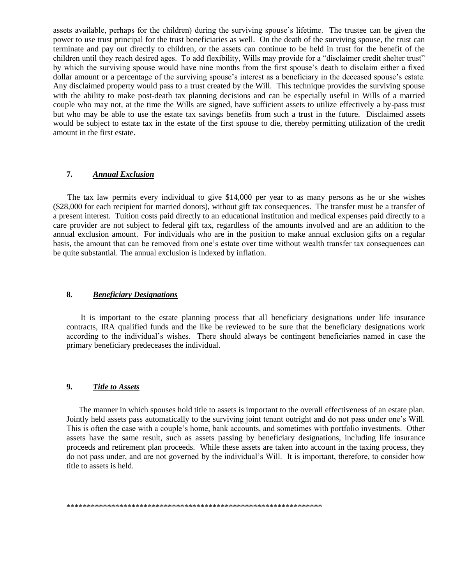assets available, perhaps for the children) during the surviving spouse's lifetime. The trustee can be given the power to use trust principal for the trust beneficiaries as well. On the death of the surviving spouse, the trust can terminate and pay out directly to children, or the assets can continue to be held in trust for the benefit of the children until they reach desired ages. To add flexibility, Wills may provide for a "disclaimer credit shelter trust" by which the surviving spouse would have nine months from the first spouse's death to disclaim either a fixed dollar amount or a percentage of the surviving spouse's interest as a beneficiary in the deceased spouse's estate. Any disclaimed property would pass to a trust created by the Will. This technique provides the surviving spouse with the ability to make post-death tax planning decisions and can be especially useful in Wills of a married couple who may not, at the time the Wills are signed, have sufficient assets to utilize effectively a by-pass trust but who may be able to use the estate tax savings benefits from such a trust in the future. Disclaimed assets would be subject to estate tax in the estate of the first spouse to die, thereby permitting utilization of the credit amount in the first estate.

# **7.** *Annual Exclusion*

 The tax law permits every individual to give \$14,000 per year to as many persons as he or she wishes (\$28,000 for each recipient for married donors), without gift tax consequences. The transfer must be a transfer of a present interest. Tuition costs paid directly to an educational institution and medical expenses paid directly to a care provider are not subject to federal gift tax, regardless of the amounts involved and are an addition to the annual exclusion amount. For individuals who are in the position to make annual exclusion gifts on a regular basis, the amount that can be removed from one's estate over time without wealth transfer tax consequences can be quite substantial. The annual exclusion is indexed by inflation.

#### **8.** *Beneficiary Designations*

 It is important to the estate planning process that all beneficiary designations under life insurance contracts, IRA qualified funds and the like be reviewed to be sure that the beneficiary designations work according to the individual's wishes. There should always be contingent beneficiaries named in case the primary beneficiary predeceases the individual.

### **9.** *Title to Assets*

 The manner in which spouses hold title to assets is important to the overall effectiveness of an estate plan. Jointly held assets pass automatically to the surviving joint tenant outright and do not pass under one's Will. This is often the case with a couple's home, bank accounts, and sometimes with portfolio investments. Other assets have the same result, such as assets passing by beneficiary designations, including life insurance proceeds and retirement plan proceeds. While these assets are taken into account in the taxing process, they do not pass under, and are not governed by the individual's Will. It is important, therefore, to consider how title to assets is held.

\*\*\*\*\*\*\*\*\*\*\*\*\*\*\*\*\*\*\*\*\*\*\*\*\*\*\*\*\*\*\*\*\*\*\*\*\*\*\*\*\*\*\*\*\*\*\*\*\*\*\*\*\*\*\*\*\*\*\*\*\*\*\*